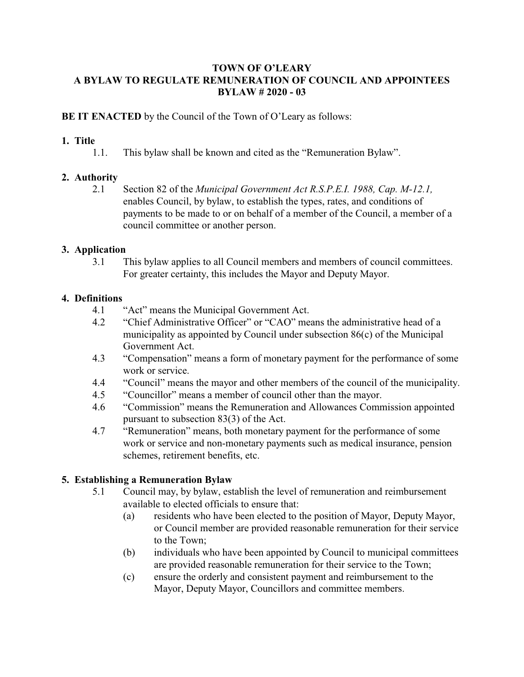#### **TOWN OF O'LEARY A BYLAW TO REGULATE REMUNERATION OF COUNCIL AND APPOINTEES BYLAW # 2020 - 03**

#### **BE IT ENACTED** by the Council of the Town of O'Leary as follows:

### **1. Title**

1.1. This bylaw shall be known and cited as the "Remuneration Bylaw".

## **2. Authority**

2.1 Section 82 of the *Municipal Government Act R.S.P.E.I. 1988, Cap. M-12.1,* enables Council, by bylaw, to establish the types, rates, and conditions of payments to be made to or on behalf of a member of the Council, a member of a council committee or another person.

## **3. Application**

3.1 This bylaw applies to all Council members and members of council committees. For greater certainty, this includes the Mayor and Deputy Mayor.

#### **4. Definitions**

- 4.1 "Act" means the Municipal Government Act.
- 4.2 "Chief Administrative Officer" or "CAO" means the administrative head of a municipality as appointed by Council under subsection 86(c) of the Municipal Government Act.
- 4.3 "Compensation" means a form of monetary payment for the performance of some work or service.
- 4.4 "Council" means the mayor and other members of the council of the municipality.
- 4.5 "Councillor" means a member of council other than the mayor.
- 4.6 "Commission" means the Remuneration and Allowances Commission appointed pursuant to subsection 83(3) of the Act.
- 4.7 "Remuneration" means, both monetary payment for the performance of some work or service and non-monetary payments such as medical insurance, pension schemes, retirement benefits, etc.

# **5. Establishing a Remuneration Bylaw**

- 5.1 Council may, by bylaw, establish the level of remuneration and reimbursement available to elected officials to ensure that:
	- (a) residents who have been elected to the position of Mayor, Deputy Mayor, or Council member are provided reasonable remuneration for their service to the Town;
	- (b) individuals who have been appointed by Council to municipal committees are provided reasonable remuneration for their service to the Town;
	- (c) ensure the orderly and consistent payment and reimbursement to the Mayor, Deputy Mayor, Councillors and committee members.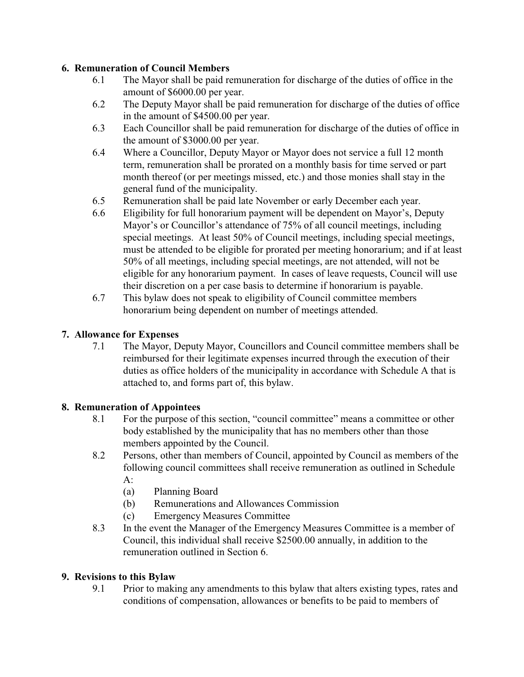## **6. Remuneration of Council Members**

- 6.1 The Mayor shall be paid remuneration for discharge of the duties of office in the amount of \$6000.00 per year.
- 6.2 The Deputy Mayor shall be paid remuneration for discharge of the duties of office in the amount of \$4500.00 per year.
- 6.3 Each Councillor shall be paid remuneration for discharge of the duties of office in the amount of \$3000.00 per year.
- 6.4 Where a Councillor, Deputy Mayor or Mayor does not service a full 12 month term, remuneration shall be prorated on a monthly basis for time served or part month thereof (or per meetings missed, etc.) and those monies shall stay in the general fund of the municipality.
- 6.5 Remuneration shall be paid late November or early December each year.
- 6.6 Eligibility for full honorarium payment will be dependent on Mayor's, Deputy Mayor's or Councillor's attendance of 75% of all council meetings, including special meetings. At least 50% of Council meetings, including special meetings, must be attended to be eligible for prorated per meeting honorarium; and if at least 50% of all meetings, including special meetings, are not attended, will not be eligible for any honorarium payment. In cases of leave requests, Council will use their discretion on a per case basis to determine if honorarium is payable.
- 6.7 This bylaw does not speak to eligibility of Council committee members honorarium being dependent on number of meetings attended.

# **7. Allowance for Expenses**

7.1 The Mayor, Deputy Mayor, Councillors and Council committee members shall be reimbursed for their legitimate expenses incurred through the execution of their duties as office holders of the municipality in accordance with Schedule A that is attached to, and forms part of, this bylaw.

#### **8. Remuneration of Appointees**

- 8.1 For the purpose of this section, "council committee" means a committee or other body established by the municipality that has no members other than those members appointed by the Council.
- 8.2 Persons, other than members of Council, appointed by Council as members of the following council committees shall receive remuneration as outlined in Schedule A:
	- (a) Planning Board
	- (b) Remunerations and Allowances Commission
	- (c) Emergency Measures Committee
- 8.3 In the event the Manager of the Emergency Measures Committee is a member of Council, this individual shall receive \$2500.00 annually, in addition to the remuneration outlined in Section 6.

#### **9. Revisions to this Bylaw**

9.1 Prior to making any amendments to this bylaw that alters existing types, rates and conditions of compensation, allowances or benefits to be paid to members of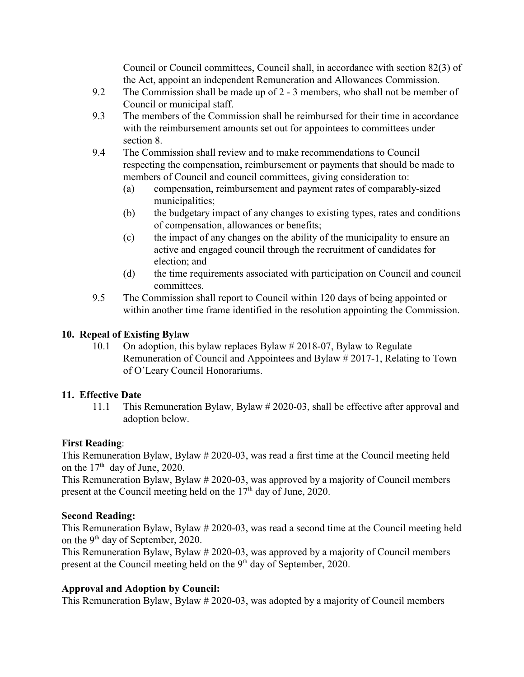Council or Council committees, Council shall, in accordance with section 82(3) of the Act, appoint an independent Remuneration and Allowances Commission.

- 9.2 The Commission shall be made up of 2 3 members, who shall not be member of Council or municipal staff.
- 9.3 The members of the Commission shall be reimbursed for their time in accordance with the reimbursement amounts set out for appointees to committees under section 8.
- 9.4 The Commission shall review and to make recommendations to Council respecting the compensation, reimbursement or payments that should be made to members of Council and council committees, giving consideration to:
	- (a) compensation, reimbursement and payment rates of comparably-sized municipalities;
	- (b) the budgetary impact of any changes to existing types, rates and conditions of compensation, allowances or benefits;
	- (c) the impact of any changes on the ability of the municipality to ensure an active and engaged council through the recruitment of candidates for election; and
	- (d) the time requirements associated with participation on Council and council committees.
- 9.5 The Commission shall report to Council within 120 days of being appointed or within another time frame identified in the resolution appointing the Commission.

### **10. Repeal of Existing Bylaw**

10.1 On adoption, this bylaw replaces Bylaw # 2018-07, Bylaw to Regulate Remuneration of Council and Appointees and Bylaw # 2017-1, Relating to Town of O'Leary Council Honorariums.

#### **11. Effective Date**

11.1 This Remuneration Bylaw, Bylaw # 2020-03, shall be effective after approval and adoption below.

# **First Reading**:

This Remuneration Bylaw, Bylaw # 2020-03, was read a first time at the Council meeting held on the  $17<sup>th</sup>$  day of June, 2020.

This Remuneration Bylaw, Bylaw # 2020-03, was approved by a majority of Council members present at the Council meeting held on the  $17<sup>th</sup>$  day of June, 2020.

#### **Second Reading:**

This Remuneration Bylaw, Bylaw # 2020-03, was read a second time at the Council meeting held on the 9<sup>th</sup> day of September, 2020.

This Remuneration Bylaw, Bylaw # 2020-03, was approved by a majority of Council members present at the Council meeting held on the 9<sup>th</sup> day of September, 2020.

# **Approval and Adoption by Council:**

This Remuneration Bylaw, Bylaw # 2020-03, was adopted by a majority of Council members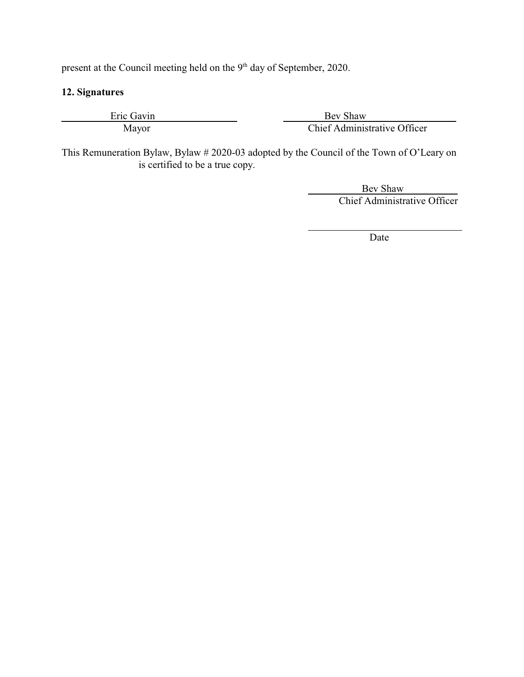present at the Council meeting held on the 9<sup>th</sup> day of September, 2020.

## **12. Signatures**

Eric Gavin Bev Shaw Mayor Chief Administrative Officer

This Remuneration Bylaw, Bylaw # 2020-03 adopted by the Council of the Town of O'Leary on is certified to be a true copy.

l

 Bev Shaw Chief Administrative Officer

Date